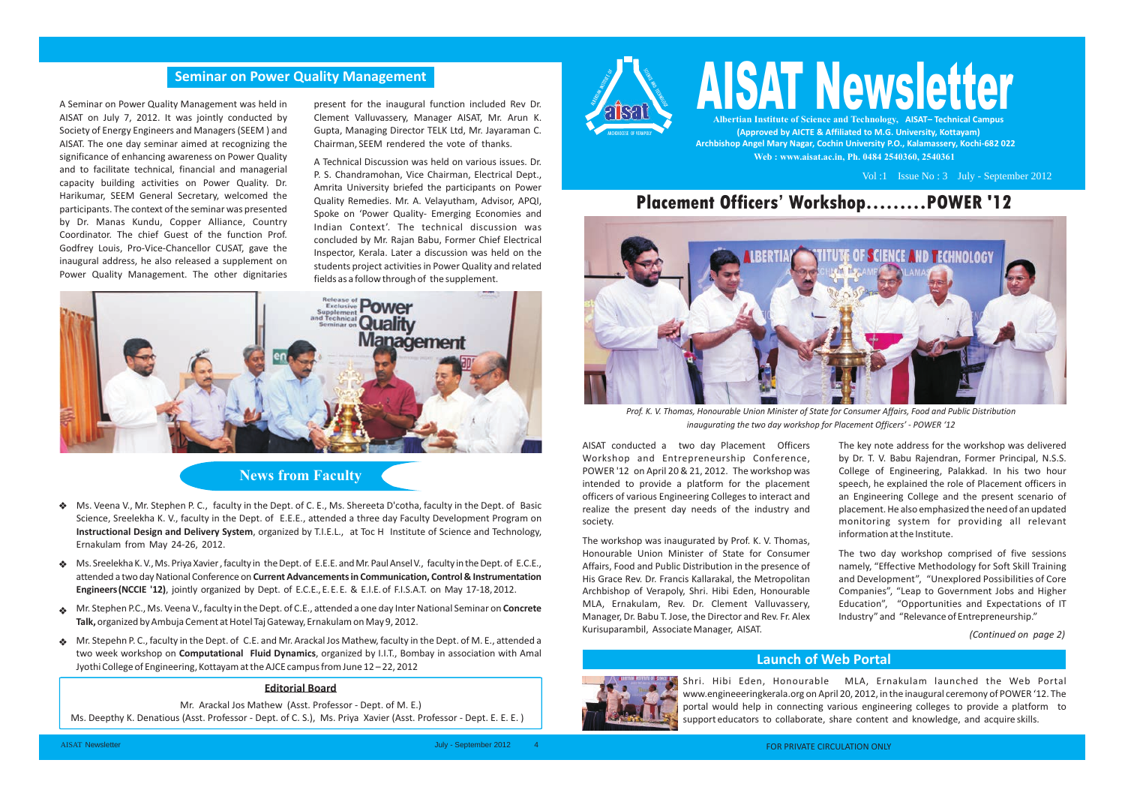**(Approved by AICTE & Affiliated to M.G. University, Kottayam) Archbishop Angel Mary Nagar, Cochin University P.O., Kalamassery, Kochi-682 022 Web : www.aisat.ac.in, Ph. 0484 2540360, 2540361**

# **Albertian Institute of Science and Technology, AISAT– Technical Campus AISAT Newsletter**

Vol :1 Issue No : 3 July - September 2012



*(Continued on page 2)*



*Prof. K. V. Thomas, Honourable Union Minister of State for Consumer Affairs, Food and Public Distribution inaugurating the two day workshop for Placement Officers' - POWER '12* 

### **Launch of Web Portal**



A Seminar on Power Quality Management was held in AISAT on July 7, 2012. It was jointly conducted by Society of Energy Engineers and Managers (SEEM ) and AISAT. The one day seminar aimed at recognizing the significance of enhancing awareness on Power Quality and to facilitate technical, financial and managerial capacity building activities on Power Quality. Dr. Harikumar, SEEM General Secretary, welcomed the participants. The context of the seminar was presented by Dr. Manas Kundu, Copper Alliance, Country Coordinator. The chief Guest of the function Prof. Godfrey Louis, Pro-Vice-Chancellor CUSAT, gave the inaugural address, he also released a supplement on Power Quality Management. The other dignitaries

## **News from Faculty**

### **Editorial Board**

 Mr. Arackal Jos Mathew (Asst. Professor - Dept. of M. E.) Ms. Deepthy K. Denatious (Asst. Professor - Dept. of C. S.), Ms. Priya Xavier (Asst. Professor - Dept. E. E. E. ) AISAT conducted a two day Placement Officers Workshop and Entrepreneurship Conference, POWER '12 on April 20 & 21, 2012. The workshop was intended to provide a platform for the placement officers of various Engineering Colleges to interact and realize the present day needs of the industry and society.

The workshop was inaugurated by Prof. K. V. Thomas, Honourable Union Minister of State for Consumer Affairs, Food and Public Distribution in the presence of His Grace Rev. Dr. Francis Kallarakal, the Metropolitan Archbishop of Verapoly, Shri. Hibi Eden, Honourable MLA, Ernakulam, Rev. Dr. Clement Valluvassery, Manager, Dr. Babu T. Jose, the Director and Rev. Fr. Alex Kurisuparambil, Associate Manager, AISAT. information at the Institute. The two day workshop comprised of five sessions namely, "Effective Methodology for Soft Skill Training and Development", "Unexplored Possibilities of Core Companies", "Leap to Government Jobs and Higher Education", "Opportunities and Expectations of IT Industry" and "Relevance of Entrepreneurship."

The key note address for the workshop was delivered by Dr. T. V. Babu Rajendran, Former Principal, N.S.S. College of Engineering, Palakkad. In his two hour speech, he explained the role of Placement officers in an Engineering College and the present scenario of placement. He also emphasized the need of an updated monitoring system for providing all relevant

- Ms. Veena V., Mr. Stephen P. C., faculty in the Dept. of C. E., Ms. Shereeta D'cotha, faculty in the Dept. of Basic Science, Sreelekha K. V., faculty in the Dept. of E.E.E., attended a three day Faculty Development Program on **Instructional Design and Delivery System**, organized by T.I.E.L., at Toc H Institute of Science and Technology, Ernakulam from May 24-26, 2012.
- Ms. Sreelekha K. V., Ms. Priya Xavier , faculty in the Dept. of E.E.E. and Mr. Paul Ansel V., faculty in the Dept. of E.C.E.,  $\frac{1}{2}$ attended a two day National Conference on **Current Advancements in Communication, Control & Instrumentation Engineers (NCCIE '12)**, jointly organized by Dept. of E.C.E., E. E. E. & E.I.E. of F.I.S.A.T. on May 17-18, 2012.
- Mr. Stephen P.C., Ms. Veena V., faculty in the Dept. of C.E., attended a one day Inter National Seminar on **Concrete Talk,** organized by Ambuja Cement at Hotel Taj Gateway, Ernakulam on May 9, 2012.
- Mr. Stepehn P. C., faculty in the Dept. of C.E. and Mr. Arackal Jos Mathew, faculty in the Dept. of M. E., attended a two week workshop on **Computational Fluid Dynamics**, organized by I.I.T., Bombay in association with Amal Jyothi College of Engineering, Kottayam at the AJCE campus from June 12 – 22, 2012

# **Placement Officers' Workshop………POWER '12**

Shri. Hibi Eden, Honourable MLA, Ernakulam launched the Web Portal www.engineeeringkerala.org on April 20, 2012, in the inaugural ceremony of POWER '12. The portal would help in connecting various engineering colleges to provide a platform to support educators to collaborate, share content and knowledge, and acquire skills.

### **Seminar on Power Quality Management**

present for the inaugural function included Rev Dr. Clement Valluvassery, Manager AISAT, Mr. Arun K. Gupta, Managing Director TELK Ltd, Mr. Jayaraman C. Chairman, SEEM rendered the vote of thanks.

A Technical Discussion was held on various issues. Dr. P. S. Chandramohan, Vice Chairman, Electrical Dept., Amrita University briefed the participants on Power Quality Remedies. Mr. A. Velayutham, Advisor, APQI, Spoke on 'Power Quality- Emerging Economies and Indian Context'. The technical discussion was concluded by Mr. Rajan Babu, Former Chief Electrical Inspector, Kerala. Later a discussion was held on the students project activities in Power Quality and related fields as a follow through of the supplement.